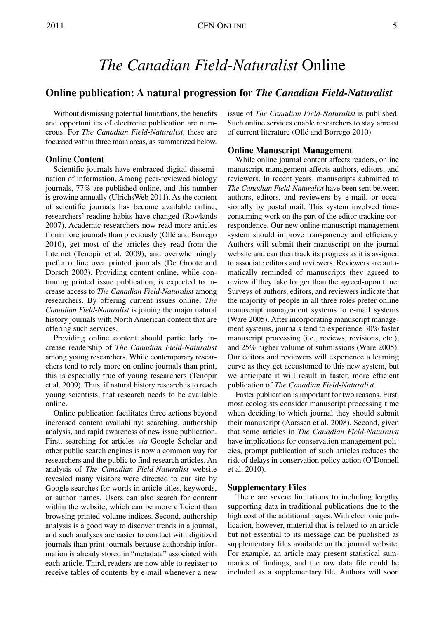# *The Canadian Field-Naturalist* Online

## **Online publication: A natural progression for** *The Canadian Field-Naturalist*

Without dismissing potential limitations, the benefits and opportunities of electronic publication are numerous. For *The Canadian Field-Naturalist*, these are focussed within three main areas, as summarized below.

### **Online Content**

Scientific journals have embraced digital dissemination of information. Among peer-reviewed biology journals, 77% are published online, and this number is growing annually (UlrichsWeb 2011). As the content of scientific journals has become available online, researchers' reading habits have changed (Rowlands 2007). Academic researchers now read more articles from more journals than previously (Ollé and Borrego 2010), get most of the articles they read from the Internet (Tenopir et al. 2009), and overwhelmingly prefer online over printed journals (De Groote and Dorsch 2003). Providing content online, while continuing printed issue publication, is expected to increase access to *The Canadian Field-Naturalist* among researchers. By offering current issues online, *The Canadian Field-Naturalist* is joining the major natural history journals with North American content that are offering such services.

Providing online content should particularly increase readership of *The Canadian Field-Naturalist* among young researchers. While contemporary researchers tend to rely more on online journals than print, this is especially true of young researchers (Tenopir et al. 2009). Thus, if natural history research is to reach young scientists, that research needs to be available online.

Online publication facilitates three actions beyond increased content availability: searching, authorship analysis, and rapid awareness of new issue publication. First, searching for articles *via* Google Scholar and other public search engines is now a common way for researchers and the public to find research articles. An analysis of *The Canadian Field-Naturalist* website revealed many visitors were directed to our site by Google searches for words in article titles, keywords, or author names. Users can also search for content within the website, which can be more efficient than browsing printed volume indices. Second, authorship analysis is a good way to discover trends in a journal, and such analyses are easier to conduct with digitized journals than print journals because authorship information is already stored in "metadata" associated with each article. Third, readers are now able to register to receive tables of contents by e-mail whenever a new issue of *The Canadian Field-Naturalist* is published. Such online services enable researchers to stay abreast of current literature (Ollé and Borrego 2010).

#### **Online Manuscript Management**

While online journal content affects readers, online manuscript management affects authors, editors, and reviewers. In recent years, manuscripts submitted to *The Canadian Field-Naturalist* have been sent between authors, editors, and reviewers by e-mail, or occasionally by postal mail. This system involved timeconsuming work on the part of the editor tracking correspondence. Our new online manuscript management system should improve transparency and efficiency. Authors will submit their manuscript on the journal website and can then track its progress as it is assigned to associate editors and reviewers. Reviewers are automatically reminded of manuscripts they agreed to review if they take longer than the agreed-upon time. Surveys of authors, editors, and reviewers indicate that the majority of people in all three roles prefer online manuscript management systems to e-mail systems (Ware 2005). After incorporating manuscript management systems, journals tend to experience 30% faster manuscript processing (i.e., reviews, revisions, etc.), and 25% higher volume of submissions (Ware 2005). Our editors and reviewers will experience a learning curve as they get accustomed to this new system, but we anticipate it will result in faster, more efficient publication of *The Canadian Field-Naturalist*.

Faster publication is important for two reasons. First, most ecologists consider manuscript processing time when deciding to which journal they should submit their manuscript (Aarssen et al. 2008). Second, given that some articles in *The Canadian Field-Naturalist* have implications for conservation management policies, prompt publication of such articles reduces the risk of delays in conservation policy action (O'Donnell et al. 2010).

#### **Supplementary Files**

There are severe limitations to including lengthy supporting data in traditional publications due to the high cost of the additional pages. With electronic publication, however, material that is related to an article but not essential to its message can be published as supplementary files available on the journal website. For example, an article may present statistical summaries of findings, and the raw data file could be included as a supplementary file. Authors will soon